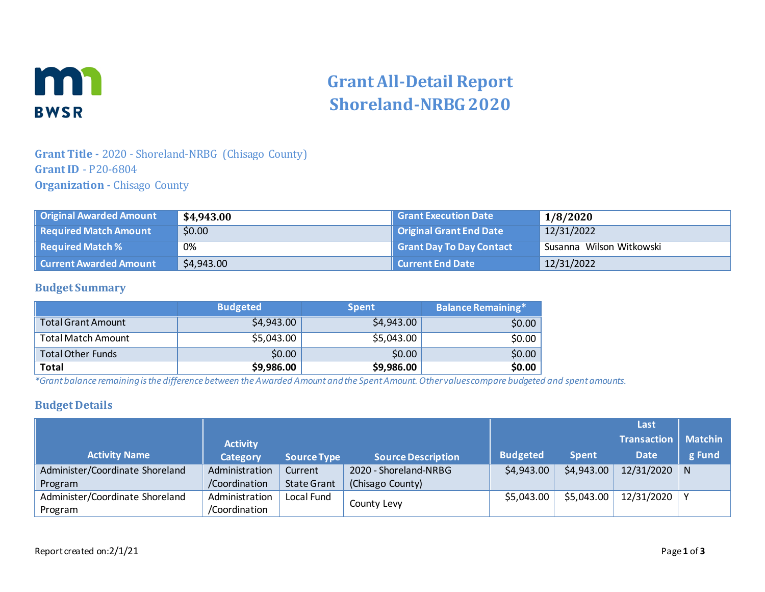

# **Grant All-Detail Report Shoreland-NRBG 2020**

## **Grant Title -** 2020 - Shoreland-NRBG (Chisago County) **Grant ID** - P20-6804 **Organization -** Chisago County

| Original Awarded Amount         | \$4,943.00 | <b>Grant Execution Date</b> | 1/8/2020                 |
|---------------------------------|------------|-----------------------------|--------------------------|
| Required Match Amount           | \$0.00     | Original Grant End Date     | 12/31/2022               |
| $\parallel$ Required Match $\%$ | 0%         | Grant Day To Day Contact    | Susanna Wilson Witkowski |
| Current Awarded Amount          | \$4,943.00 | Current End Date            | 12/31/2022               |

### **Budget Summary**

|                           | <b>Budgeted</b> | <b>Spent</b> | <b>Balance Remaining*</b> |
|---------------------------|-----------------|--------------|---------------------------|
| <b>Total Grant Amount</b> | \$4,943.00      | \$4,943.00   | \$0.00                    |
| <b>Total Match Amount</b> | \$5,043.00      | \$5,043.00   | \$0.00                    |
| <b>Total Other Funds</b>  | \$0.00          | \$0.00       | \$0.00                    |
| <b>Total</b>              | \$9,986.00      | \$9,986.00   | \$0.00                    |

*\*Grant balance remaining is the difference between the Awarded Amount and the Spent Amount. Other values compare budgeted and spent amounts.*

### **Budget Details**

|                                 |                 |                    |                           |                 |              | Last               |                |
|---------------------------------|-----------------|--------------------|---------------------------|-----------------|--------------|--------------------|----------------|
|                                 | <b>Activity</b> |                    |                           |                 |              | <b>Transaction</b> | <b>Matchin</b> |
| <b>Activity Name</b>            | <b>Category</b> | <b>Source Type</b> | <b>Source Description</b> | <b>Budgeted</b> | <b>Spent</b> | <b>Date</b>        | g Fund         |
| Administer/Coordinate Shoreland | Administration  | Current            | 2020 - Shoreland-NRBG     | \$4,943.00      | \$4,943.00   | 12/31/2020         | <sup>N</sup>   |
| Program                         | /Coordination   | <b>State Grant</b> | (Chisago County)          |                 |              |                    |                |
| Administer/Coordinate Shoreland | Administration  | Local Fund         |                           | \$5,043.00      | \$5,043.00   | 12/31/2020         |                |
| Program                         | /Coordination   |                    | County Levy               |                 |              |                    |                |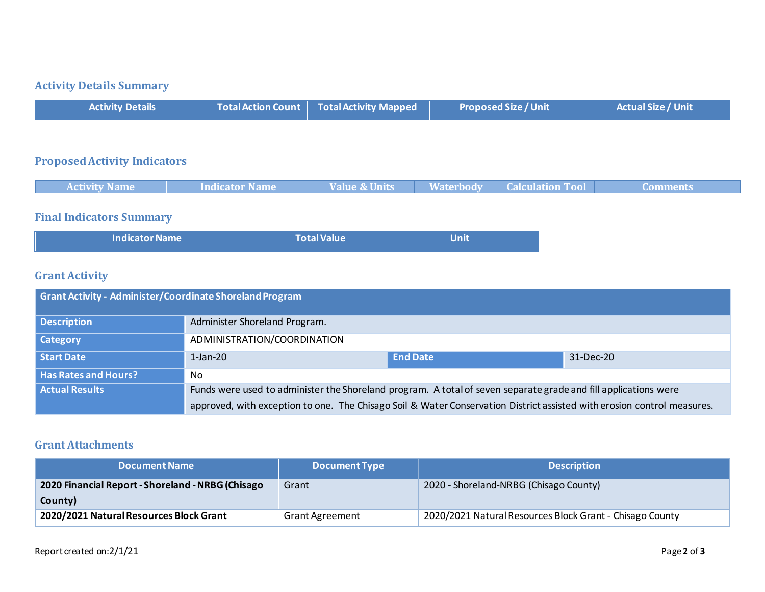# **Activity Details Summary**

|  | <b>Activity Details</b> |  | $\mid$ Total Action Count $\mid$ Total Activity Mapped $\mid$ | <b>Proposed Size / Unit</b> | Actual Size / Unit |
|--|-------------------------|--|---------------------------------------------------------------|-----------------------------|--------------------|
|--|-------------------------|--|---------------------------------------------------------------|-----------------------------|--------------------|

## **Proposed Activity Indicators**

|  | <b>Activity Name</b> | Indicator Name | <b>Value &amp; Units</b> |  | <b>Waterbody   Calculation Tool</b> | ' Comments |  |
|--|----------------------|----------------|--------------------------|--|-------------------------------------|------------|--|
|--|----------------------|----------------|--------------------------|--|-------------------------------------|------------|--|

# **Final Indicators Summary**

| <b>Indicator Name</b> | <b>Total Value</b> | Unit |
|-----------------------|--------------------|------|
|                       |                    |      |

## **Grant Activity**

| Grant Activity - Administer/Coordinate Shoreland Program |                                                                                                                         |                 |           |  |
|----------------------------------------------------------|-------------------------------------------------------------------------------------------------------------------------|-----------------|-----------|--|
| Description                                              | Administer Shoreland Program.                                                                                           |                 |           |  |
| <b>Category</b>                                          | ADMINISTRATION/COORDINATION                                                                                             |                 |           |  |
| Start Date                                               | $1$ -Jan-20                                                                                                             | <b>End Date</b> | 31-Dec-20 |  |
| <b>Has Rates and Hours?</b>                              | No.                                                                                                                     |                 |           |  |
| <b>Actual Results</b>                                    | Funds were used to administer the Shoreland program. A total of seven separate grade and fill applications were         |                 |           |  |
|                                                          | approved, with exception to one. The Chisago Soil & Water Conservation District assisted with erosion control measures. |                 |           |  |

#### **Grant Attachments**

| <b>Document Name</b>                              | <b>Document Type</b>   | <b>Description</b>                                       |
|---------------------------------------------------|------------------------|----------------------------------------------------------|
| 2020 Financial Report - Shoreland - NRBG (Chisago | Grant                  | 2020 - Shoreland-NRBG (Chisago County)                   |
| County)                                           |                        |                                                          |
| 2020/2021 Natural Resources Block Grant           | <b>Grant Agreement</b> | 2020/2021 Natural Resources Block Grant - Chisago County |